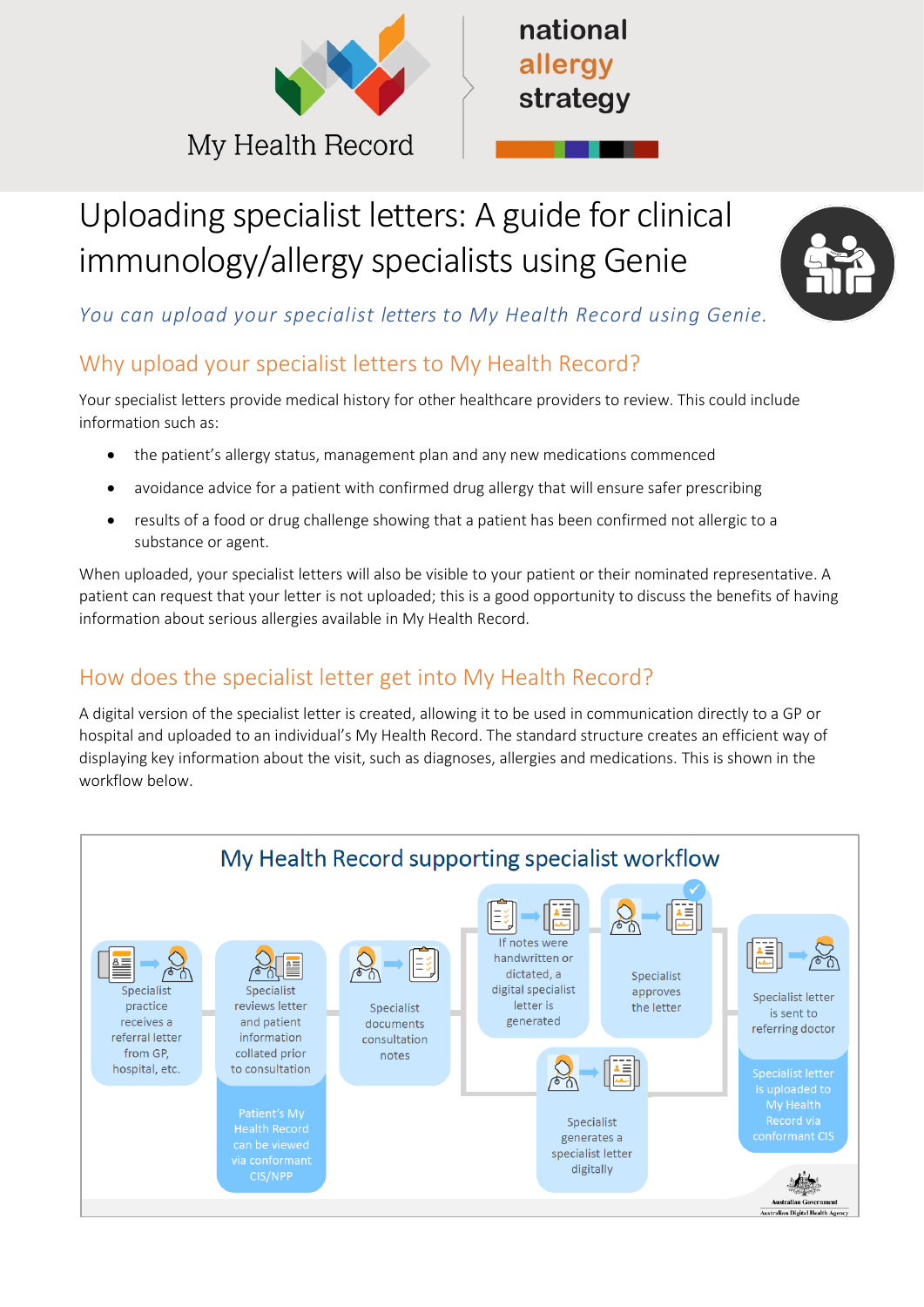



# Uploading specialist letters: A guide for clinical immunology/allergy specialists using Genie



*You can upload your specialist letters to My Health Record using Genie.* 

# Why upload your specialist letters to My Health Record?

Your specialist letters provide medical history for other healthcare providers to review. This could include information such as:

- the patient's allergy status, management plan and any new medications commenced
- avoidance advice for a patient with confirmed drug allergy that will ensure safer prescribing
- results of a food or drug challenge showing that a patient has been confirmed not allergic to a substance or agent.

When uploaded, your specialist letters will also be visible to your patient or their nominated representative. A patient can request that your letter is not uploaded; this is a good opportunity to discuss the benefits of having information about serious allergies available in My Health Record.

# How does the specialist letter get into My Health Record?

A digital version of the specialist letter is created, allowing it to be used in communication directly to a GP or hospital and uploaded to an individual's My Health Record. The standard structure creates an efficient way of displaying key information about the visit, such as diagnoses, allergies and medications. This is shown in the workflow below.

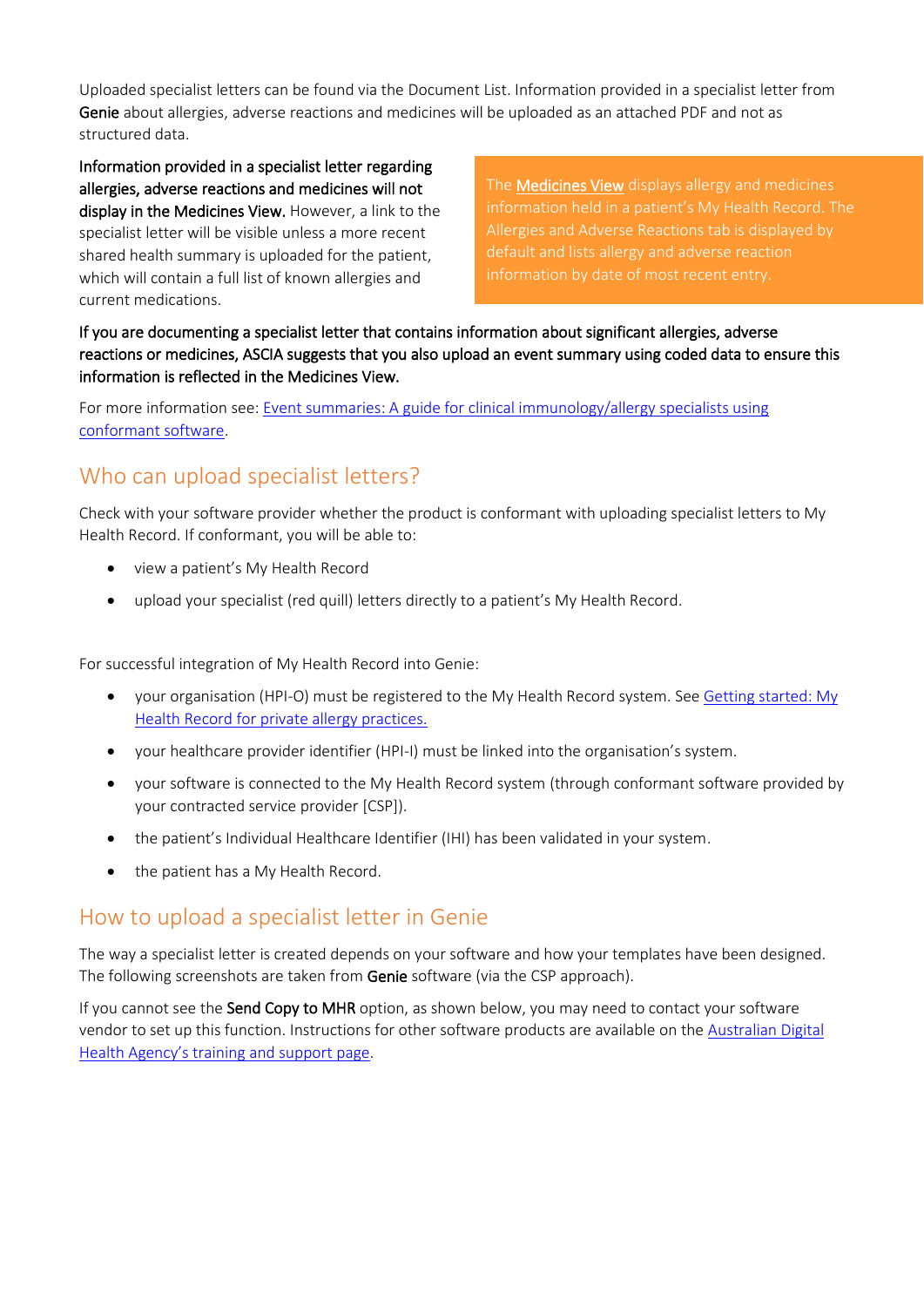Uploaded specialist letters can be found via the Document List. Information provided in a specialist letter from Genie about allergies, adverse reactions and medicines will be uploaded as an attached PDF and not as structured data.

Information provided in a specialist letter regarding allergies, adverse reactions and medicines will not display in the Medicines View. However, a link to the specialist letter will be visible unless a more recent shared health summary is uploaded for the patient, which will contain a full list of known allergies and current medications.

The **Medicines View** displays allergy and medicines Allergies and Adverse Reactions tab is displayed by default and lists allergy and adverse reaction

If you are documenting a specialist letter that contains information about significant allergies, adverse reactions or medicines, ASCIA suggests that you also upload an event summary using coded data to ensure this information is reflected in the Medicines View.

For more information see: Event summaries: A guide for clinical immunology/allergy specialists using [conformant software.](https://www.nationalallergystrategy.org.au/images/mhr/NAS_MHR_Event_Summaries_Updated_March_2022.pdf)

# Who can upload specialist letters?

Check with your software provider whether the product is conformant with uploading specialist letters to My Health Record. If conformant, you will be able to:

- view a patient's My Health Record
- upload your specialist (red quill) letters directly to a patient's My Health Record.

For successful integration of My Health Record into Genie:

- your organisation (HPI-O) must be registered to the My Health Record system. See Getting started: My [Health Record for private allergy practices.](https://www.nationalallergystrategy.org.au/images/mhr/NAS_Getting_started_MHR_for_private_allergy_practices_updated_March_2022.pdf)
- your healthcare provider identifier (HPI-I) must be linked into the organisation's system.
- your software is connected to the My Health Record system (through conformant software provided by your contracted service provider [CSP]).
- the patient's Individual Healthcare Identifier (IHI) has been validated in your system.
- the patient has a My Health Record.

# How to upload a specialist letter in Genie

The way a specialist letter is created depends on your software and how your templates have been designed. The following screenshots are taken from Genie software (via the CSP approach).

If you cannot see the Send Copy to MHR option, as shown below, you may need to contact your software vendor to set up this function. Instructions for other software products are available on the [Australian Digital](https://www.digitalhealth.gov.au/healthcare-providers/training-and-support/my-health-record-training-and-support#Clinical-software-summary-sheets)  [Health Agency's training and support page](https://www.digitalhealth.gov.au/healthcare-providers/training-and-support/my-health-record-training-and-support#Clinical-software-summary-sheets).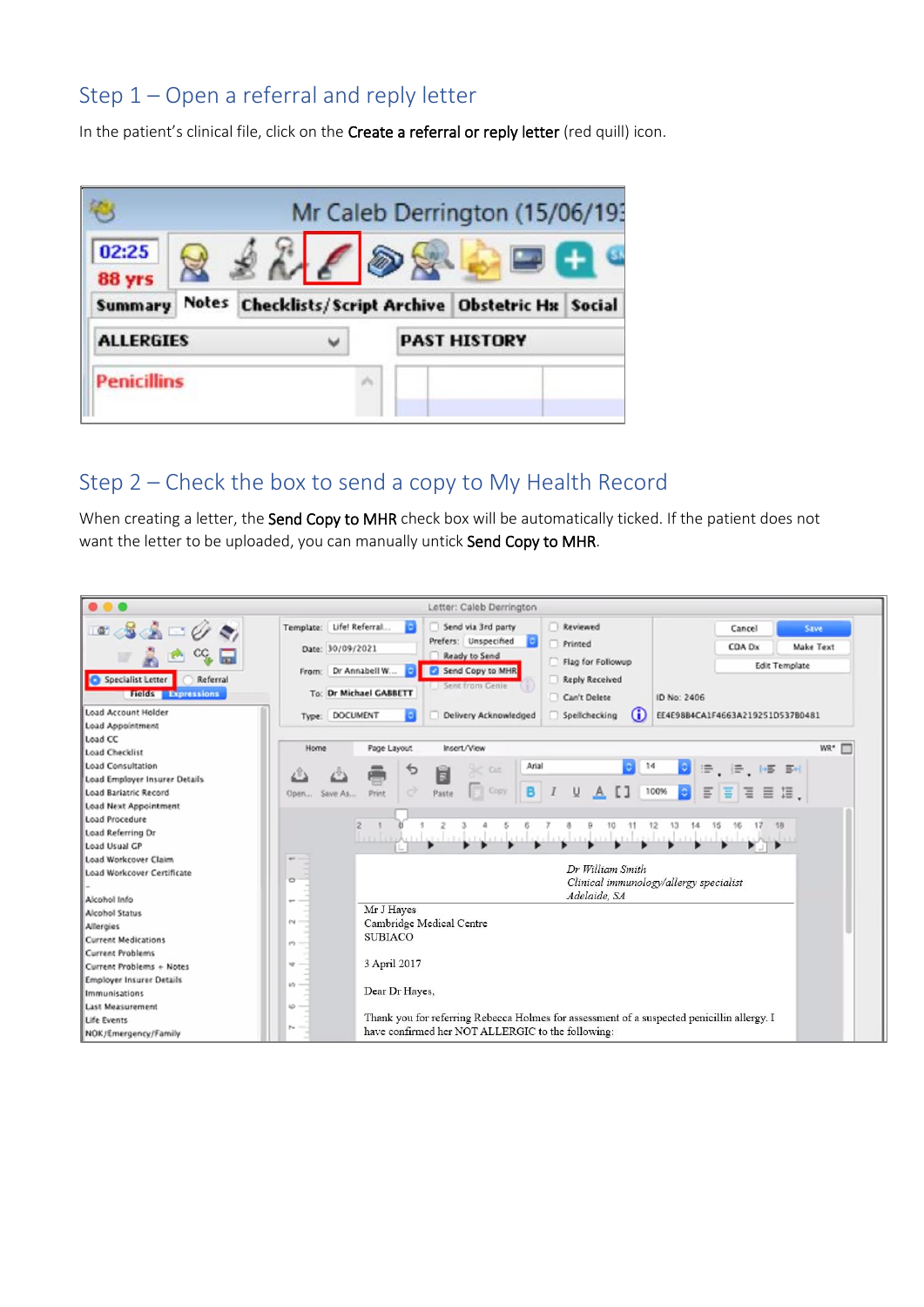# Step 1 – Open a referral and reply letter

In the patient's clinical file, click on the Create a referral or reply letter (red quill) icon.

|                    |                                                     |  | Mr Caleb Derrington (15/06/19: |  |
|--------------------|-----------------------------------------------------|--|--------------------------------|--|
| 02:25<br>88 yrs    | $2460$                                              |  |                                |  |
| Summary            | Notes Checklists/Script Archive Obstetric Hx Social |  |                                |  |
| <b>ALLERGIES</b>   | v                                                   |  | <b>PAST HISTORY</b>            |  |
| <b>Penicillins</b> |                                                     |  |                                |  |
|                    |                                                     |  |                                |  |

### Step 2 – Check the box to send a copy to My Health Record

When creating a letter, the Send Copy to MHR check box will be automatically ticked. If the patient does not want the letter to be uploaded, you can manually untick Send Copy to MHR.

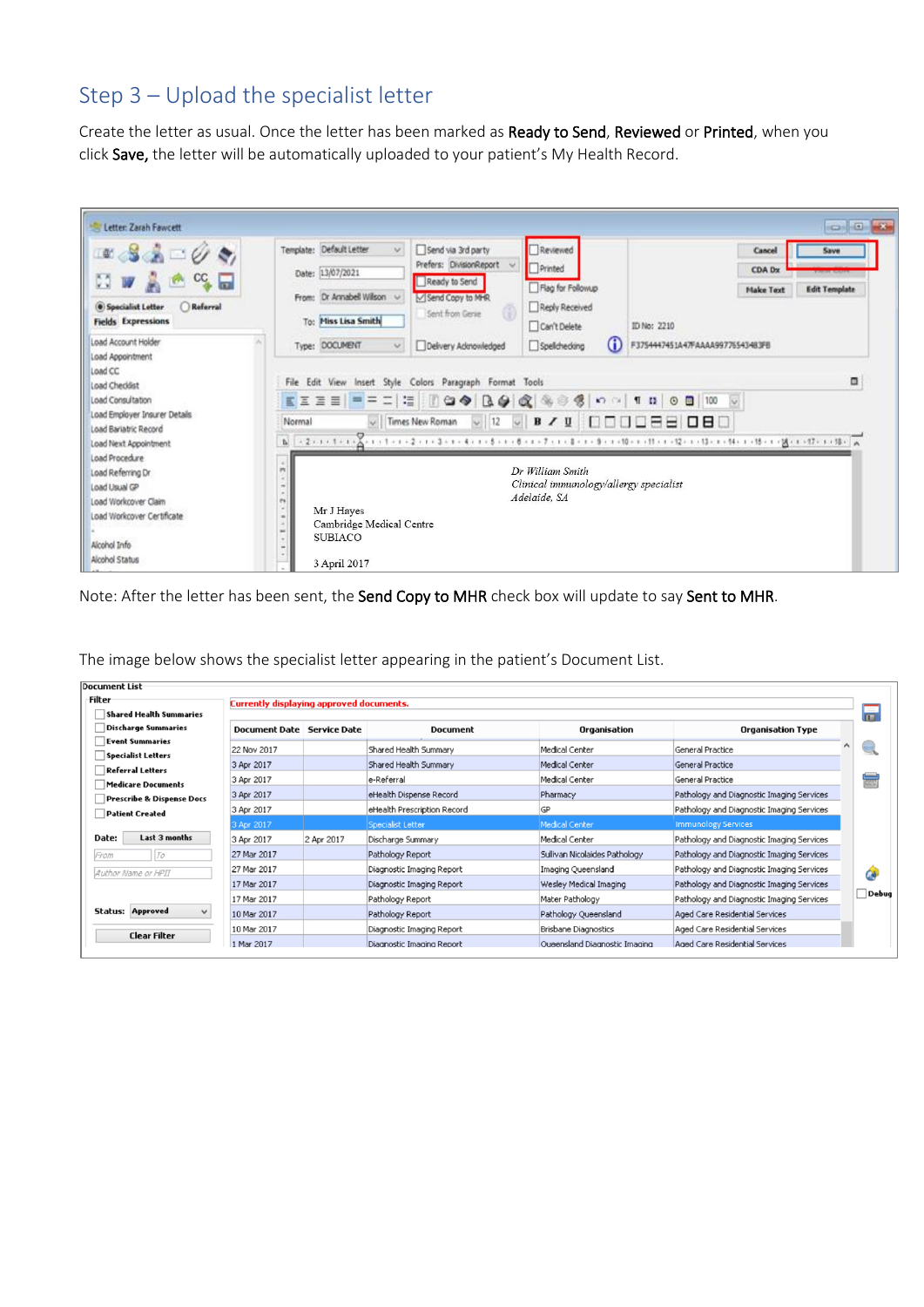# Step 3 – Upload the specialist letter

Create the letter as usual. Once the letter has been marked as Ready to Send, Reviewed or Printed, when you click Save, the letter will be automatically uploaded to your patient's My Health Record.

| Letter: Zarah Fawcett                                                                                                                                                        | icalia ka                                                                                                                                                                                                                                                                                                                                                                                           |
|------------------------------------------------------------------------------------------------------------------------------------------------------------------------------|-----------------------------------------------------------------------------------------------------------------------------------------------------------------------------------------------------------------------------------------------------------------------------------------------------------------------------------------------------------------------------------------------------|
| $\bullet$ $\bullet$ $\circ$<br>M<br>$cc$ $\Box$<br>Referral<br><b>(@)</b> Specialist Letter<br><b>Fields Expressions</b>                                                     | Template: Default Letter<br>Reviewed<br>Send via 3rd party<br>v.<br>Cancel<br>Save<br>Prefers: DivisionReport v<br>Printed<br>CDA Dx<br>Date: 13/07/2021<br>Ready to Send<br>Flag for Followup<br><b>Edit Template</b><br><b>Make Text</b><br>Dr Annabell Willson<br>Send Copy to MHR<br>From:<br>$\sim$<br>Reply Received<br>Sent from Genre<br>To: Miss Lisa Smith<br>Can't Delete<br>ID No: 2210 |
| Load Account Holder<br>Load Appointment<br>Load CC<br>Load Checklist<br>Load Consultation<br>Load Employer Insurer Details<br>Load Bariatric Record<br>Load Next Appointment | $\bf(i)$<br>Type: DOCUMENT<br>F3754447451A47FAAAA99776543483FB<br>Spelchecking<br>Delivery Admoniedged<br>$\vee$<br>Ξ<br>File Edit View Insert Style Colors Paragraph Format Tools<br>$\vee$ 12 $\vee$ B / U 000088080<br>I Times New Roman<br>Normal                                                                                                                                               |
| Load Procedure<br>Load Referring Dr<br>Load Usual GP<br>Load Workcover Claim<br>Load Workcover Certificate<br>Alcohol Info<br>Alcohol Status                                 | $\hat{n}$<br>Dr William Smith<br>×<br>Clinical immunology/allergy specialist<br>$\frac{1}{2} \left( \frac{1}{2} \right) \left( \frac{1}{2} \right)$<br>$\sim$<br>Adelaide, SA<br>$\sim$<br>×<br>Mr J Hayes<br>$\sim$<br>Cambridge Medical Centre<br>$\begin{array}{c} \hline \end{array}$<br>٠<br><b>SUBIACO</b><br>٠<br>$\frac{1}{2}$<br>$\omega$<br>3 April 2017                                  |

Note: After the letter has been sent, the Send Copy to MHR check box will update to say Sent to MHR.

| <b>Document List</b>                 |                                                 |            |                             |                               |                                           |       |  |
|--------------------------------------|-------------------------------------------------|------------|-----------------------------|-------------------------------|-------------------------------------------|-------|--|
| Filter                               | <b>Currently displaying approved documents.</b> |            |                             |                               |                                           |       |  |
| ۵<br>Shared Health Summaries         |                                                 |            |                             |                               |                                           |       |  |
| Discharge Summaries                  | Document Date Service Date                      |            | <b>Document</b>             | Organisation                  | Organisation Type                         |       |  |
| <b>Event Summaries</b>               | 22 Nov 2017                                     |            | Shared Health Summary       | Medical Center                | General Practice                          |       |  |
| <b>Specialist Letters</b>            |                                                 |            |                             | Medical Center                | General Practice                          |       |  |
| <b>Referral Letters</b>              | 3 Apr 2017                                      |            | Shared Health Summary       |                               |                                           |       |  |
| Medicare Documents                   | 3 Apr 2017                                      |            | e-Referral                  | Medical Center                | General Practice                          | 忈     |  |
| <b>Prescribe &amp; Dispense Docs</b> | 3 Apr 2017                                      |            | eHealth Dispense Record     | Pharmacy                      | Pathology and Diagnostic Imaging Services |       |  |
| <b>Patient Created</b>               | 3 Apr 2017                                      |            | eHealth Prescription Record | <b>GP</b>                     | Pathology and Diagnostic Imaging Services |       |  |
|                                      | 3 Apr 2017                                      |            | Specialist Letter           | <b>Medical Center</b>         | <b>Immunology Services</b>                |       |  |
| Last 3 months<br>Date:               | 3 Apr 2017                                      | 2 Apr 2017 | Discharge Summary           | Medical Center                | Pathology and Diagnostic Imaging Services |       |  |
| $T\sigma$<br>From                    | 27 Mar 2017                                     |            | Pathology Report            | Sullivan Nicolaides Pathology | Pathology and Diagnostic Imaging Services |       |  |
| Author Name or HPII                  | 27 Mar 2017                                     |            | Diagnostic Imaging Report   | Imaging Queensland            | Pathology and Diagnostic Imaging Services | Ġ     |  |
|                                      | 17 Mar 2017                                     |            | Diagnostic Imaging Report   | Wesley Medical Imaging        | Pathology and Diagnostic Imaging Services |       |  |
|                                      | 17 Mar 2017                                     |            | Pathology Report            | Mater Pathology               | Pathology and Diagnostic Imaging Services | Debug |  |
| <b>Status: Approved</b>              | 10 Mar 2017                                     |            | Pathology Report            | Pathology Queensland          | Aged Care Residential Services            |       |  |
| <b>Clear Filter</b>                  | 10 Mar 2017                                     |            | Diagnostic Imaging Report   | Brisbane Diagnostics          | Aged Care Residential Services            |       |  |
|                                      | 1 Mar 2017                                      |            | Diagnostic Imaging Report   | Oueensland Diagnostic Imaging | Aged Care Residential Services            |       |  |

The image below shows the specialist letter appearing in the patient's Document List.